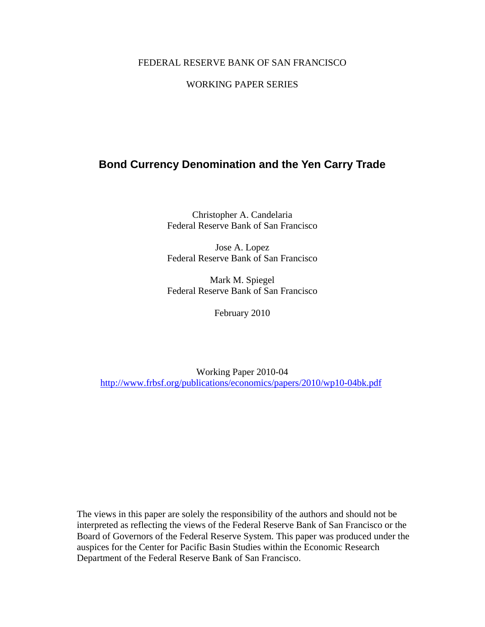#### FEDERAL RESERVE BANK OF SAN FRANCISCO

### WORKING PAPER SERIES

## **Bond Currency Denomination and the Yen Carry Trade**

Christopher A. Candelaria Federal Reserve Bank of San Francisco

Jose A. Lopez Federal Reserve Bank of San Francisco

Mark M. Spiegel Federal Reserve Bank of San Francisco

February 2010

Working Paper 2010-04 http://www.frbsf.org/publications/economics/papers/2010/wp10-04bk.pdf

The views in this paper are solely the responsibility of the authors and should not be interpreted as reflecting the views of the Federal Reserve Bank of San Francisco or the Board of Governors of the Federal Reserve System. This paper was produced under the auspices for the Center for Pacific Basin Studies within the Economic Research Department of the Federal Reserve Bank of San Francisco.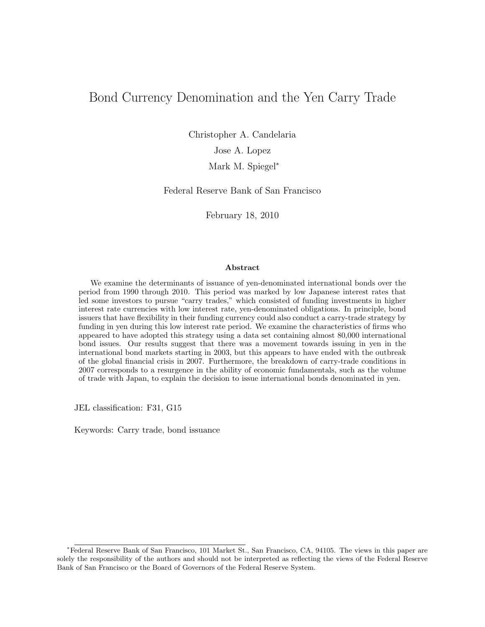# Bond Currency Denomination and the Yen Carry Trade

Christopher A. Candelaria Jose A. Lopez

Mark M. Spiegel<sup>∗</sup>

Federal Reserve Bank of San Francisco

February 18, 2010

#### Abstract

We examine the determinants of issuance of yen-denominated international bonds over the period from 1990 through 2010. This period was marked by low Japanese interest rates that led some investors to pursue "carry trades," which consisted of funding investments in higher interest rate currencies with low interest rate, yen-denominated obligations. In principle, bond issuers that have flexibility in their funding currency could also conduct a carry-trade strategy by funding in yen during this low interest rate period. We examine the characteristics of firms who appeared to have adopted this strategy using a data set containing almost 80,000 international bond issues. Our results suggest that there was a movement towards issuing in yen in the international bond markets starting in 2003, but this appears to have ended with the outbreak of the global financial crisis in 2007. Furthermore, the breakdown of carry-trade conditions in 2007 corresponds to a resurgence in the ability of economic fundamentals, such as the volume of trade with Japan, to explain the decision to issue international bonds denominated in yen.

JEL classification: F31, G15

Keywords: Carry trade, bond issuance

<sup>∗</sup>Federal Reserve Bank of San Francisco, 101 Market St., San Francisco, CA, 94105. The views in this paper are solely the responsibility of the authors and should not be interpreted as reflecting the views of the Federal Reserve Bank of San Francisco or the Board of Governors of the Federal Reserve System.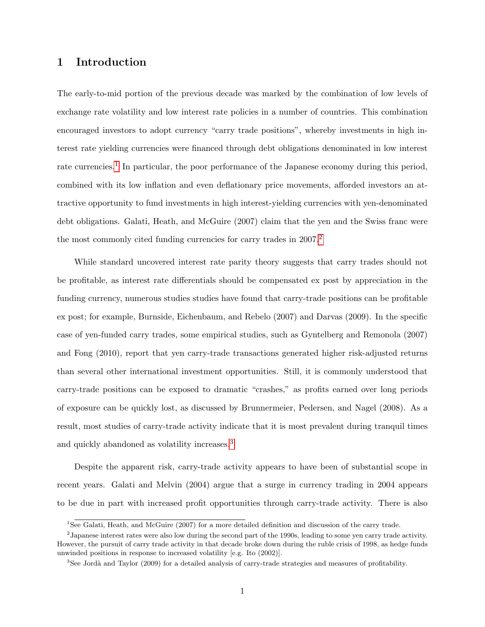## 1 Introduction

The early-to-mid portion of the previous decade was marked by the combination of low levels of exchange rate volatility and low interest rate policies in a number of countries. This combination encouraged investors to adopt currency "carry trade positions", whereby investments in high interest rate yielding currencies were financed through debt obligations denominated in low interest rate currencies.<sup>[1](#page-2-0)</sup> In particular, the poor performance of the Japanese economy during this period, combined with its low inflation and even deflationary price movements, afforded investors an attractive opportunity to fund investments in high interest-yielding currencies with yen-denominated debt obligations. Galati, Heath, and McGuire (2007) claim that the yen and the Swiss franc were the most commonly cited funding currencies for carry trades in [2](#page-2-1)007.<sup>2</sup>

While standard uncovered interest rate parity theory suggests that carry trades should not be profitable, as interest rate differentials should be compensated ex post by appreciation in the funding currency, numerous studies studies have found that carry-trade positions can be profitable ex post; for example, Burnside, Eichenbaum, and Rebelo (2007) and Darvas (2009). In the specific case of yen-funded carry trades, some empirical studies, such as Gyntelberg and Remonola (2007) and Fong (2010), report that yen carry-trade transactions generated higher risk-adjusted returns than several other international investment opportunities. Still, it is commonly understood that carry-trade positions can be exposed to dramatic "crashes," as profits earned over long periods of exposure can be quickly lost, as discussed by Brunnermeier, Pedersen, and Nagel (2008). As a result, most studies of carry-trade activity indicate that it is most prevalent during tranquil times and quickly abandoned as volatility increases.[3](#page-2-2)

Despite the apparent risk, carry-trade activity appears to have been of substantial scope in recent years. Galati and Melvin (2004) argue that a surge in currency trading in 2004 appears to be due in part with increased profit opportunities through carry-trade activity. There is also

<span id="page-2-1"></span><span id="page-2-0"></span><sup>&</sup>lt;sup>1</sup>See Galati, Heath, and McGuire (2007) for a more detailed definition and discussion of the carry trade.

<sup>2</sup> Japanese interest rates were also low during the second part of the 1990s, leading to some yen carry trade activity. However, the pursuit of carry trade activity in that decade broke down during the ruble crisis of 1998, as hedge funds unwinded positions in response to increased volatility [e.g. Ito (2002)].

<span id="page-2-2"></span><sup>&</sup>lt;sup>3</sup>See Jordà and Taylor (2009) for a detailed analysis of carry-trade strategies and measures of profitability.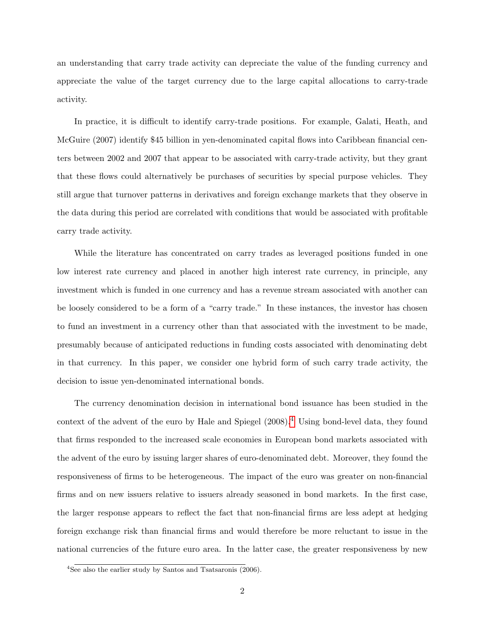an understanding that carry trade activity can depreciate the value of the funding currency and appreciate the value of the target currency due to the large capital allocations to carry-trade activity.

In practice, it is difficult to identify carry-trade positions. For example, Galati, Heath, and McGuire (2007) identify \$45 billion in yen-denominated capital flows into Caribbean financial centers between 2002 and 2007 that appear to be associated with carry-trade activity, but they grant that these flows could alternatively be purchases of securities by special purpose vehicles. They still argue that turnover patterns in derivatives and foreign exchange markets that they observe in the data during this period are correlated with conditions that would be associated with profitable carry trade activity.

While the literature has concentrated on carry trades as leveraged positions funded in one low interest rate currency and placed in another high interest rate currency, in principle, any investment which is funded in one currency and has a revenue stream associated with another can be loosely considered to be a form of a "carry trade." In these instances, the investor has chosen to fund an investment in a currency other than that associated with the investment to be made, presumably because of anticipated reductions in funding costs associated with denominating debt in that currency. In this paper, we consider one hybrid form of such carry trade activity, the decision to issue yen-denominated international bonds.

The currency denomination decision in international bond issuance has been studied in the context of the advent of the euro by Hale and Spiegel  $(2008).<sup>4</sup>$  $(2008).<sup>4</sup>$  $(2008).<sup>4</sup>$  Using bond-level data, they found that firms responded to the increased scale economies in European bond markets associated with the advent of the euro by issuing larger shares of euro-denominated debt. Moreover, they found the responsiveness of firms to be heterogeneous. The impact of the euro was greater on non-financial firms and on new issuers relative to issuers already seasoned in bond markets. In the first case, the larger response appears to reflect the fact that non-financial firms are less adept at hedging foreign exchange risk than financial firms and would therefore be more reluctant to issue in the national currencies of the future euro area. In the latter case, the greater responsiveness by new

<span id="page-3-0"></span> $4See$  also the earlier study by Santos and Tsatsaronis (2006).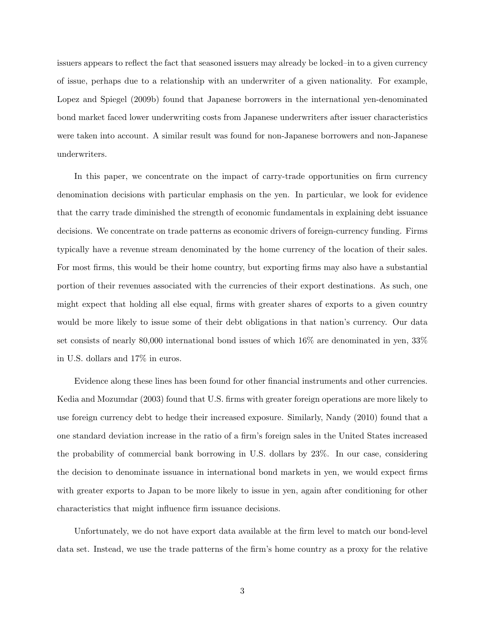issuers appears to reflect the fact that seasoned issuers may already be locked–in to a given currency of issue, perhaps due to a relationship with an underwriter of a given nationality. For example, Lopez and Spiegel (2009b) found that Japanese borrowers in the international yen-denominated bond market faced lower underwriting costs from Japanese underwriters after issuer characteristics were taken into account. A similar result was found for non-Japanese borrowers and non-Japanese underwriters.

In this paper, we concentrate on the impact of carry-trade opportunities on firm currency denomination decisions with particular emphasis on the yen. In particular, we look for evidence that the carry trade diminished the strength of economic fundamentals in explaining debt issuance decisions. We concentrate on trade patterns as economic drivers of foreign-currency funding. Firms typically have a revenue stream denominated by the home currency of the location of their sales. For most firms, this would be their home country, but exporting firms may also have a substantial portion of their revenues associated with the currencies of their export destinations. As such, one might expect that holding all else equal, firms with greater shares of exports to a given country would be more likely to issue some of their debt obligations in that nation's currency. Our data set consists of nearly 80,000 international bond issues of which 16% are denominated in yen, 33% in U.S. dollars and 17% in euros.

Evidence along these lines has been found for other financial instruments and other currencies. Kedia and Mozumdar (2003) found that U.S. firms with greater foreign operations are more likely to use foreign currency debt to hedge their increased exposure. Similarly, Nandy (2010) found that a one standard deviation increase in the ratio of a firm's foreign sales in the United States increased the probability of commercial bank borrowing in U.S. dollars by 23%. In our case, considering the decision to denominate issuance in international bond markets in yen, we would expect firms with greater exports to Japan to be more likely to issue in yen, again after conditioning for other characteristics that might influence firm issuance decisions.

Unfortunately, we do not have export data available at the firm level to match our bond-level data set. Instead, we use the trade patterns of the firm's home country as a proxy for the relative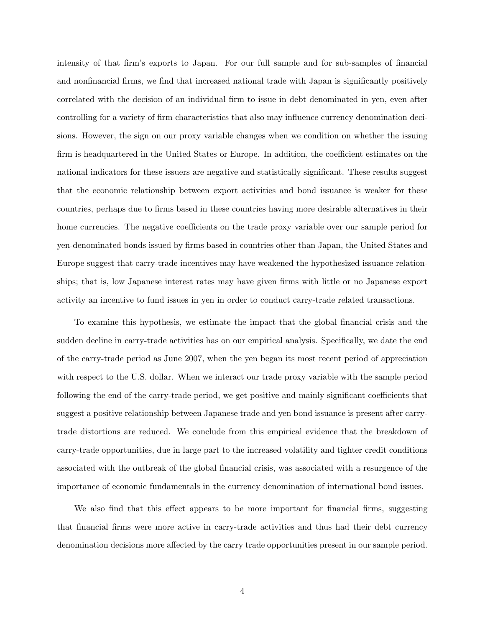intensity of that firm's exports to Japan. For our full sample and for sub-samples of financial and nonfinancial firms, we find that increased national trade with Japan is significantly positively correlated with the decision of an individual firm to issue in debt denominated in yen, even after controlling for a variety of firm characteristics that also may influence currency denomination decisions. However, the sign on our proxy variable changes when we condition on whether the issuing firm is headquartered in the United States or Europe. In addition, the coefficient estimates on the national indicators for these issuers are negative and statistically significant. These results suggest that the economic relationship between export activities and bond issuance is weaker for these countries, perhaps due to firms based in these countries having more desirable alternatives in their home currencies. The negative coefficients on the trade proxy variable over our sample period for yen-denominated bonds issued by firms based in countries other than Japan, the United States and Europe suggest that carry-trade incentives may have weakened the hypothesized issuance relationships; that is, low Japanese interest rates may have given firms with little or no Japanese export activity an incentive to fund issues in yen in order to conduct carry-trade related transactions.

To examine this hypothesis, we estimate the impact that the global financial crisis and the sudden decline in carry-trade activities has on our empirical analysis. Specifically, we date the end of the carry-trade period as June 2007, when the yen began its most recent period of appreciation with respect to the U.S. dollar. When we interact our trade proxy variable with the sample period following the end of the carry-trade period, we get positive and mainly significant coefficients that suggest a positive relationship between Japanese trade and yen bond issuance is present after carrytrade distortions are reduced. We conclude from this empirical evidence that the breakdown of carry-trade opportunities, due in large part to the increased volatility and tighter credit conditions associated with the outbreak of the global financial crisis, was associated with a resurgence of the importance of economic fundamentals in the currency denomination of international bond issues.

We also find that this effect appears to be more important for financial firms, suggesting that financial firms were more active in carry-trade activities and thus had their debt currency denomination decisions more affected by the carry trade opportunities present in our sample period.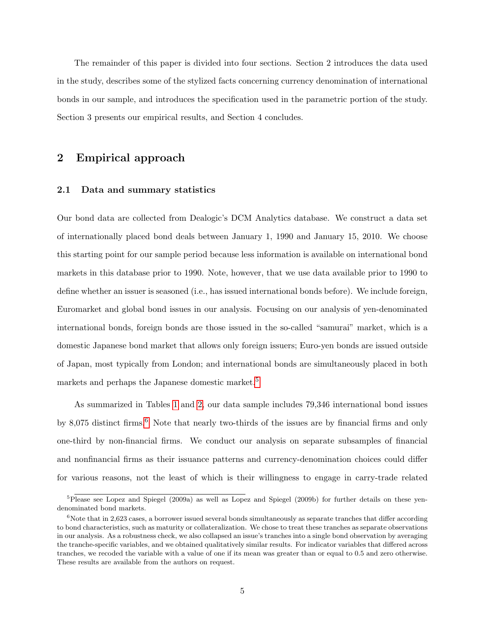The remainder of this paper is divided into four sections. Section 2 introduces the data used in the study, describes some of the stylized facts concerning currency denomination of international bonds in our sample, and introduces the specification used in the parametric portion of the study. Section 3 presents our empirical results, and Section 4 concludes.

## 2 Empirical approach

#### 2.1 Data and summary statistics

Our bond data are collected from Dealogic's DCM Analytics database. We construct a data set of internationally placed bond deals between January 1, 1990 and January 15, 2010. We choose this starting point for our sample period because less information is available on international bond markets in this database prior to 1990. Note, however, that we use data available prior to 1990 to define whether an issuer is seasoned (i.e., has issued international bonds before). We include foreign, Euromarket and global bond issues in our analysis. Focusing on our analysis of yen-denominated international bonds, foreign bonds are those issued in the so-called "samurai" market, which is a domestic Japanese bond market that allows only foreign issuers; Euro-yen bonds are issued outside of Japan, most typically from London; and international bonds are simultaneously placed in both markets and perhaps the Japanese domestic market.<sup>[5](#page-6-0)</sup>

As summarized in Tables [1](#page-23-0) and [2,](#page-23-1) our data sample includes 79,346 international bond issues by 8,075 distinct firms.<sup>[6](#page-6-1)</sup> Note that nearly two-thirds of the issues are by financial firms and only one-third by non-financial firms. We conduct our analysis on separate subsamples of financial and nonfinancial firms as their issuance patterns and currency-denomination choices could differ for various reasons, not the least of which is their willingness to engage in carry-trade related

<span id="page-6-0"></span><sup>&</sup>lt;sup>5</sup>Please see Lopez and Spiegel (2009a) as well as Lopez and Spiegel (2009b) for further details on these yendenominated bond markets.

<span id="page-6-1"></span> $6N$ ote that in 2,623 cases, a borrower issued several bonds simultaneously as separate tranches that differ according to bond characteristics, such as maturity or collateralization. We chose to treat these tranches as separate observations in our analysis. As a robustness check, we also collapsed an issue's tranches into a single bond observation by averaging the tranche-specific variables, and we obtained qualitatively similar results. For indicator variables that differed across tranches, we recoded the variable with a value of one if its mean was greater than or equal to 0.5 and zero otherwise. These results are available from the authors on request.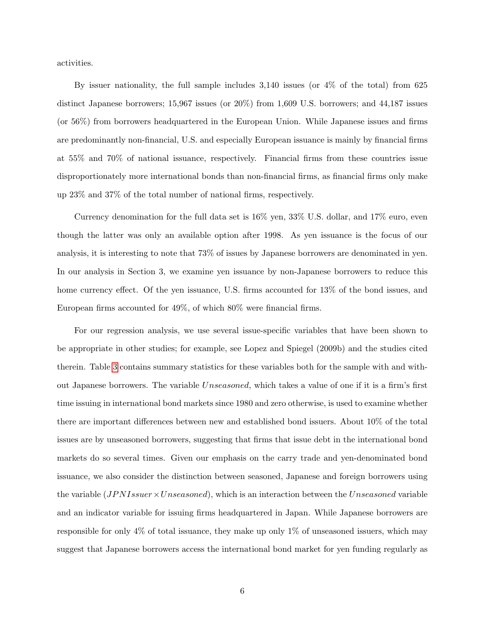activities.

By issuer nationality, the full sample includes 3,140 issues (or 4% of the total) from 625 distinct Japanese borrowers; 15,967 issues (or 20%) from 1,609 U.S. borrowers; and 44,187 issues (or 56%) from borrowers headquartered in the European Union. While Japanese issues and firms are predominantly non-financial, U.S. and especially European issuance is mainly by financial firms at 55% and 70% of national issuance, respectively. Financial firms from these countries issue disproportionately more international bonds than non-financial firms, as financial firms only make up 23% and 37% of the total number of national firms, respectively.

Currency denomination for the full data set is 16% yen, 33% U.S. dollar, and 17% euro, even though the latter was only an available option after 1998. As yen issuance is the focus of our analysis, it is interesting to note that 73% of issues by Japanese borrowers are denominated in yen. In our analysis in Section 3, we examine yen issuance by non-Japanese borrowers to reduce this home currency effect. Of the yen issuance, U.S. firms accounted for 13% of the bond issues, and European firms accounted for 49%, of which 80% were financial firms.

For our regression analysis, we use several issue-specific variables that have been shown to be appropriate in other studies; for example, see Lopez and Spiegel (2009b) and the studies cited therein. Table [3](#page-24-0) contains summary statistics for these variables both for the sample with and without Japanese borrowers. The variable Unseasoned, which takes a value of one if it is a firm's first time issuing in international bond markets since 1980 and zero otherwise, is used to examine whether there are important differences between new and established bond issuers. About 10% of the total issues are by unseasoned borrowers, suggesting that firms that issue debt in the international bond markets do so several times. Given our emphasis on the carry trade and yen-denominated bond issuance, we also consider the distinction between seasoned, Japanese and foreign borrowers using the variable  $(JPNIssuer \times Unseasoned)$ , which is an interaction between the Unseasoned variable and an indicator variable for issuing firms headquartered in Japan. While Japanese borrowers are responsible for only 4% of total issuance, they make up only 1% of unseasoned issuers, which may suggest that Japanese borrowers access the international bond market for yen funding regularly as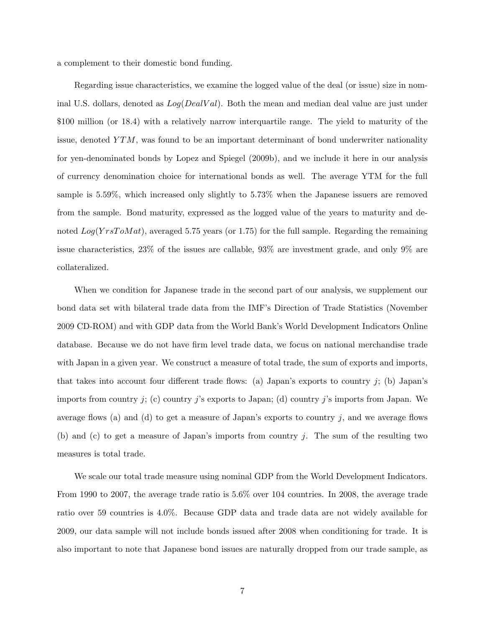a complement to their domestic bond funding.

Regarding issue characteristics, we examine the logged value of the deal (or issue) size in nominal U.S. dollars, denoted as  $Log(DealVal)$ . Both the mean and median deal value are just under \$100 million (or 18.4) with a relatively narrow interquartile range. The yield to maturity of the issue, denoted  $YTM$ , was found to be an important determinant of bond underwriter nationality for yen-denominated bonds by Lopez and Spiegel (2009b), and we include it here in our analysis of currency denomination choice for international bonds as well. The average YTM for the full sample is 5.59%, which increased only slightly to 5.73% when the Japanese issuers are removed from the sample. Bond maturity, expressed as the logged value of the years to maturity and denoted  $Log(YrsToMat)$ , averaged 5.75 years (or 1.75) for the full sample. Regarding the remaining issue characteristics, 23% of the issues are callable, 93% are investment grade, and only 9% are collateralized.

When we condition for Japanese trade in the second part of our analysis, we supplement our bond data set with bilateral trade data from the IMF's Direction of Trade Statistics (November 2009 CD-ROM) and with GDP data from the World Bank's World Development Indicators Online database. Because we do not have firm level trade data, we focus on national merchandise trade with Japan in a given year. We construct a measure of total trade, the sum of exports and imports, that takes into account four different trade flows: (a) Japan's exports to country  $j$ ; (b) Japan's imports from country j; (c) country j's exports to Japan; (d) country j's imports from Japan. We average flows (a) and (d) to get a measure of Japan's exports to country  $j$ , and we average flows (b) and (c) to get a measure of Japan's imports from country j. The sum of the resulting two measures is total trade.

We scale our total trade measure using nominal GDP from the World Development Indicators. From 1990 to 2007, the average trade ratio is 5.6% over 104 countries. In 2008, the average trade ratio over 59 countries is 4.0%. Because GDP data and trade data are not widely available for 2009, our data sample will not include bonds issued after 2008 when conditioning for trade. It is also important to note that Japanese bond issues are naturally dropped from our trade sample, as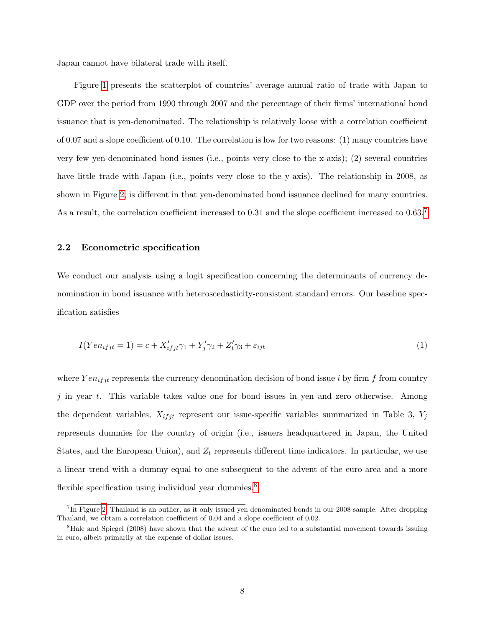Japan cannot have bilateral trade with itself.

Figure [1](#page-18-0) presents the scatterplot of countries' average annual ratio of trade with Japan to GDP over the period from 1990 through 2007 and the percentage of their firms' international bond issuance that is yen-denominated. The relationship is relatively loose with a correlation coefficient of 0.07 and a slope coefficient of 0.10. The correlation is low for two reasons: (1) many countries have very few yen-denominated bond issues (i.e., points very close to the x-axis); (2) several countries have little trade with Japan (i.e., points very close to the y-axis). The relationship in 2008, as shown in Figure [2,](#page-19-0) is different in that yen-denominated bond issuance declined for many countries. As a result, the correlation coefficient increased to 0.31 and the slope coefficient increased to 0.63.<sup>[7](#page-9-0)</sup>

#### 2.2 Econometric specification

We conduct our analysis using a logit specification concerning the determinants of currency denomination in bond issuance with heteroscedasticity-consistent standard errors. Our baseline specification satisfies

$$
I(Yen_{ifjt} = 1) = c + X'_{ifjt}\gamma_1 + Y'_j\gamma_2 + Z'_t\gamma_3 + \varepsilon_{ijt}
$$
\n
$$
(1)
$$

where  $Y en_{ifit}$  represents the currency denomination decision of bond issue i by firm f from country  $j$  in year t. This variable takes value one for bond issues in yen and zero otherwise. Among the dependent variables,  $X_{ifjt}$  represent our issue-specific variables summarized in Table 3,  $Y_j$ represents dummies for the country of origin (i.e., issuers headquartered in Japan, the United States, and the European Union), and  $Z_t$  represents different time indicators. In particular, we use a linear trend with a dummy equal to one subsequent to the advent of the euro area and a more flexible specification using individual year dummies.<sup>[8](#page-9-1)</sup>.

<span id="page-9-0"></span><sup>&</sup>lt;sup>7</sup>In Figure [2,](#page-19-0) Thailand is an outlier, as it only issued yen denominated bonds in our 2008 sample. After dropping Thailand, we obtain a correlation coefficient of 0.04 and a slope coefficient of 0.02.

<span id="page-9-1"></span><sup>&</sup>lt;sup>8</sup>Hale and Spiegel (2008) have shown that the advent of the euro led to a substantial movement towards issuing in euro, albeit primarily at the expense of dollar issues.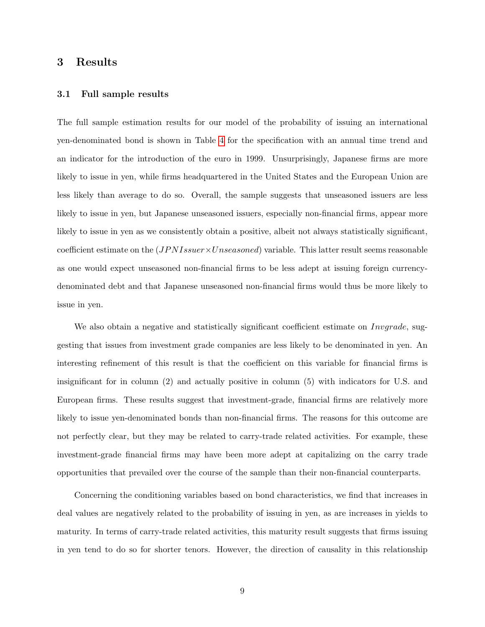## 3 Results

#### 3.1 Full sample results

The full sample estimation results for our model of the probability of issuing an international yen-denominated bond is shown in Table [4](#page-25-0) for the specification with an annual time trend and an indicator for the introduction of the euro in 1999. Unsurprisingly, Japanese firms are more likely to issue in yen, while firms headquartered in the United States and the European Union are less likely than average to do so. Overall, the sample suggests that unseasoned issuers are less likely to issue in yen, but Japanese unseasoned issuers, especially non-financial firms, appear more likely to issue in yen as we consistently obtain a positive, albeit not always statistically significant, coefficient estimate on the  $(JPNIssuer\times Unseasoned)$  variable. This latter result seems reasonable as one would expect unseasoned non-financial firms to be less adept at issuing foreign currencydenominated debt and that Japanese unseasoned non-financial firms would thus be more likely to issue in yen.

We also obtain a negative and statistically significant coefficient estimate on *Invgrade*, suggesting that issues from investment grade companies are less likely to be denominated in yen. An interesting refinement of this result is that the coefficient on this variable for financial firms is insignificant for in column (2) and actually positive in column (5) with indicators for U.S. and European firms. These results suggest that investment-grade, financial firms are relatively more likely to issue yen-denominated bonds than non-financial firms. The reasons for this outcome are not perfectly clear, but they may be related to carry-trade related activities. For example, these investment-grade financial firms may have been more adept at capitalizing on the carry trade opportunities that prevailed over the course of the sample than their non-financial counterparts.

Concerning the conditioning variables based on bond characteristics, we find that increases in deal values are negatively related to the probability of issuing in yen, as are increases in yields to maturity. In terms of carry-trade related activities, this maturity result suggests that firms issuing in yen tend to do so for shorter tenors. However, the direction of causality in this relationship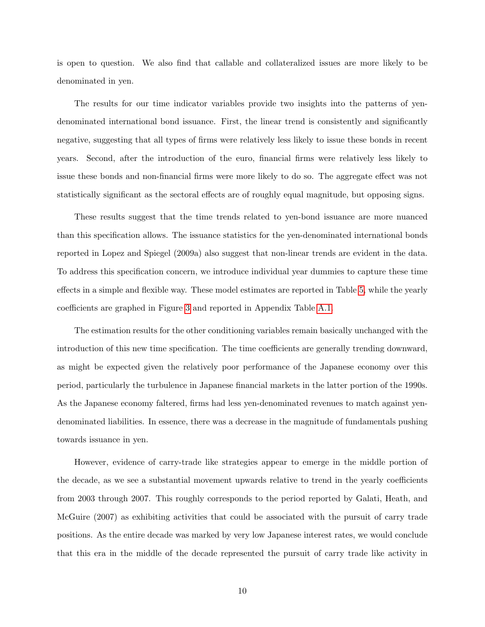is open to question. We also find that callable and collateralized issues are more likely to be denominated in yen.

The results for our time indicator variables provide two insights into the patterns of yendenominated international bond issuance. First, the linear trend is consistently and significantly negative, suggesting that all types of firms were relatively less likely to issue these bonds in recent years. Second, after the introduction of the euro, financial firms were relatively less likely to issue these bonds and non-financial firms were more likely to do so. The aggregate effect was not statistically significant as the sectoral effects are of roughly equal magnitude, but opposing signs.

These results suggest that the time trends related to yen-bond issuance are more nuanced than this specification allows. The issuance statistics for the yen-denominated international bonds reported in Lopez and Spiegel (2009a) also suggest that non-linear trends are evident in the data. To address this specification concern, we introduce individual year dummies to capture these time effects in a simple and flexible way. These model estimates are reported in Table [5,](#page-26-0) while the yearly coefficients are graphed in Figure [3](#page-20-0) and reported in Appendix Table [A.1.](#page-29-0)

The estimation results for the other conditioning variables remain basically unchanged with the introduction of this new time specification. The time coefficients are generally trending downward, as might be expected given the relatively poor performance of the Japanese economy over this period, particularly the turbulence in Japanese financial markets in the latter portion of the 1990s. As the Japanese economy faltered, firms had less yen-denominated revenues to match against yendenominated liabilities. In essence, there was a decrease in the magnitude of fundamentals pushing towards issuance in yen.

However, evidence of carry-trade like strategies appear to emerge in the middle portion of the decade, as we see a substantial movement upwards relative to trend in the yearly coefficients from 2003 through 2007. This roughly corresponds to the period reported by Galati, Heath, and McGuire (2007) as exhibiting activities that could be associated with the pursuit of carry trade positions. As the entire decade was marked by very low Japanese interest rates, we would conclude that this era in the middle of the decade represented the pursuit of carry trade like activity in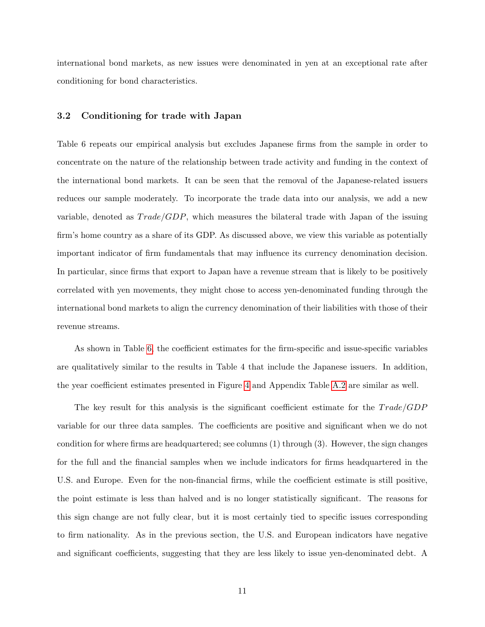international bond markets, as new issues were denominated in yen at an exceptional rate after conditioning for bond characteristics.

#### 3.2 Conditioning for trade with Japan

Table 6 repeats our empirical analysis but excludes Japanese firms from the sample in order to concentrate on the nature of the relationship between trade activity and funding in the context of the international bond markets. It can be seen that the removal of the Japanese-related issuers reduces our sample moderately. To incorporate the trade data into our analysis, we add a new variable, denoted as  $Trade/GDP$ , which measures the bilateral trade with Japan of the issuing firm's home country as a share of its GDP. As discussed above, we view this variable as potentially important indicator of firm fundamentals that may influence its currency denomination decision. In particular, since firms that export to Japan have a revenue stream that is likely to be positively correlated with yen movements, they might chose to access yen-denominated funding through the international bond markets to align the currency denomination of their liabilities with those of their revenue streams.

As shown in Table [6,](#page-27-0) the coefficient estimates for the firm-specific and issue-specific variables are qualitatively similar to the results in Table 4 that include the Japanese issuers. In addition, the year coefficient estimates presented in Figure [4](#page-21-0) and Appendix Table [A.2](#page-30-0) are similar as well.

The key result for this analysis is the significant coefficient estimate for the  $Trade/GDP$ variable for our three data samples. The coefficients are positive and significant when we do not condition for where firms are headquartered; see columns (1) through (3). However, the sign changes for the full and the financial samples when we include indicators for firms headquartered in the U.S. and Europe. Even for the non-financial firms, while the coefficient estimate is still positive, the point estimate is less than halved and is no longer statistically significant. The reasons for this sign change are not fully clear, but it is most certainly tied to specific issues corresponding to firm nationality. As in the previous section, the U.S. and European indicators have negative and significant coefficients, suggesting that they are less likely to issue yen-denominated debt. A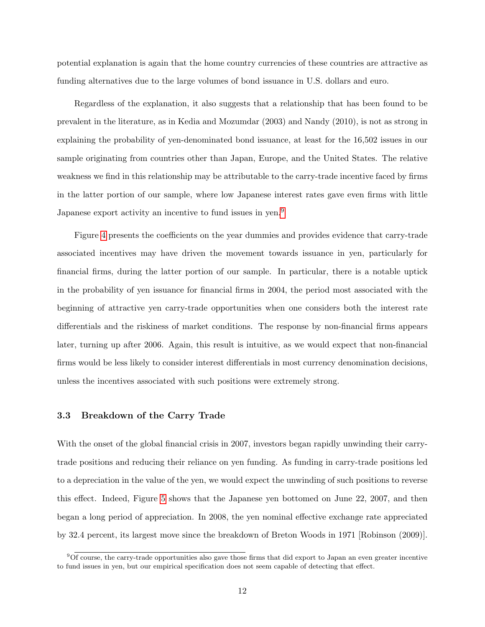potential explanation is again that the home country currencies of these countries are attractive as funding alternatives due to the large volumes of bond issuance in U.S. dollars and euro.

Regardless of the explanation, it also suggests that a relationship that has been found to be prevalent in the literature, as in Kedia and Mozumdar (2003) and Nandy (2010), is not as strong in explaining the probability of yen-denominated bond issuance, at least for the 16,502 issues in our sample originating from countries other than Japan, Europe, and the United States. The relative weakness we find in this relationship may be attributable to the carry-trade incentive faced by firms in the latter portion of our sample, where low Japanese interest rates gave even firms with little Japanese export activity an incentive to fund issues in yen.<sup>[9](#page-13-0)</sup>

Figure [4](#page-21-0) presents the coefficients on the year dummies and provides evidence that carry-trade associated incentives may have driven the movement towards issuance in yen, particularly for financial firms, during the latter portion of our sample. In particular, there is a notable uptick in the probability of yen issuance for financial firms in 2004, the period most associated with the beginning of attractive yen carry-trade opportunities when one considers both the interest rate differentials and the riskiness of market conditions. The response by non-financial firms appears later, turning up after 2006. Again, this result is intuitive, as we would expect that non-financial firms would be less likely to consider interest differentials in most currency denomination decisions, unless the incentives associated with such positions were extremely strong.

#### 3.3 Breakdown of the Carry Trade

With the onset of the global financial crisis in 2007, investors began rapidly unwinding their carrytrade positions and reducing their reliance on yen funding. As funding in carry-trade positions led to a depreciation in the value of the yen, we would expect the unwinding of such positions to reverse this effect. Indeed, Figure [5](#page-22-0) shows that the Japanese yen bottomed on June 22, 2007, and then began a long period of appreciation. In 2008, the yen nominal effective exchange rate appreciated by 32.4 percent, its largest move since the breakdown of Breton Woods in 1971 [Robinson (2009)].

<span id="page-13-0"></span> $90f$  course, the carry-trade opportunities also gave those firms that did export to Japan an even greater incentive to fund issues in yen, but our empirical specification does not seem capable of detecting that effect.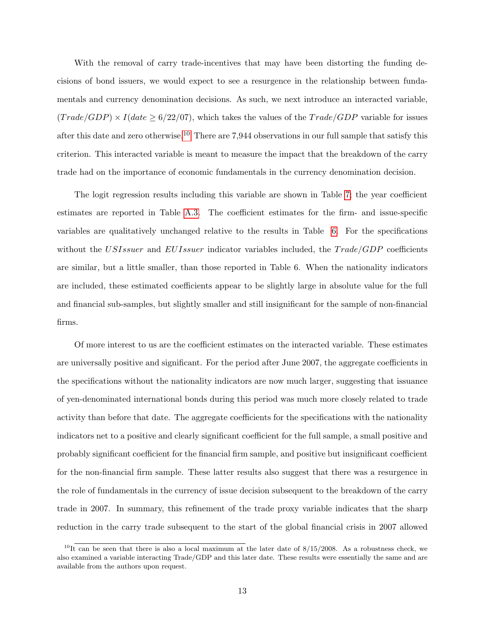With the removal of carry trade-incentives that may have been distorting the funding decisions of bond issuers, we would expect to see a resurgence in the relationship between fundamentals and currency denomination decisions. As such, we next introduce an interacted variable,  $(Trade/GDP) \times I(data \geq 6/22/07)$ , which takes the values of the  $Trade/GDP$  variable for issues after this date and zero otherwise.<sup>[10](#page-14-0)</sup> There are 7,944 observations in our full sample that satisfy this criterion. This interacted variable is meant to measure the impact that the breakdown of the carry trade had on the importance of economic fundamentals in the currency denomination decision.

The logit regression results including this variable are shown in Table [7;](#page-28-0) the year coefficient estimates are reported in Table [A.3.](#page-31-0) The coefficient estimates for the firm- and issue-specific variables are qualitatively unchanged relative to the results in Table [6.](#page-27-0) For the specifications without the USIssuer and EUIssuer indicator variables included, the  $Trade/GDP$  coefficients are similar, but a little smaller, than those reported in Table 6. When the nationality indicators are included, these estimated coefficients appear to be slightly large in absolute value for the full and financial sub-samples, but slightly smaller and still insignificant for the sample of non-financial firms.

Of more interest to us are the coefficient estimates on the interacted variable. These estimates are universally positive and significant. For the period after June 2007, the aggregate coefficients in the specifications without the nationality indicators are now much larger, suggesting that issuance of yen-denominated international bonds during this period was much more closely related to trade activity than before that date. The aggregate coefficients for the specifications with the nationality indicators net to a positive and clearly significant coefficient for the full sample, a small positive and probably significant coefficient for the financial firm sample, and positive but insignificant coefficient for the non-financial firm sample. These latter results also suggest that there was a resurgence in the role of fundamentals in the currency of issue decision subsequent to the breakdown of the carry trade in 2007. In summary, this refinement of the trade proxy variable indicates that the sharp reduction in the carry trade subsequent to the start of the global financial crisis in 2007 allowed

<span id="page-14-0"></span> $^{10}$ It can be seen that there is also a local maximum at the later date of 8/15/2008. As a robustness check, we also examined a variable interacting Trade/GDP and this later date. These results were essentially the same and are available from the authors upon request.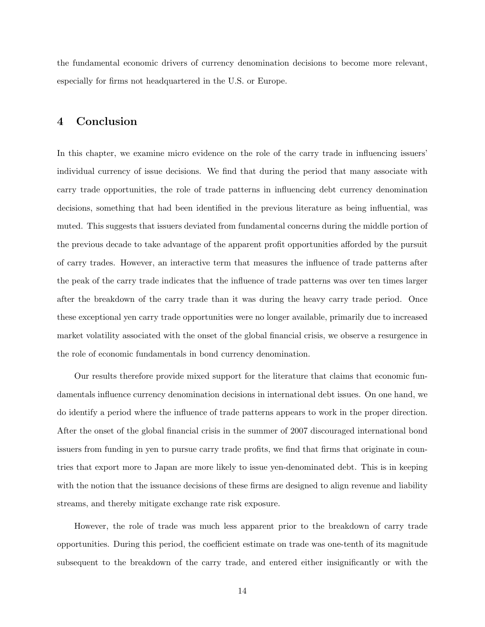the fundamental economic drivers of currency denomination decisions to become more relevant, especially for firms not headquartered in the U.S. or Europe.

## 4 Conclusion

In this chapter, we examine micro evidence on the role of the carry trade in influencing issuers' individual currency of issue decisions. We find that during the period that many associate with carry trade opportunities, the role of trade patterns in influencing debt currency denomination decisions, something that had been identified in the previous literature as being influential, was muted. This suggests that issuers deviated from fundamental concerns during the middle portion of the previous decade to take advantage of the apparent profit opportunities afforded by the pursuit of carry trades. However, an interactive term that measures the influence of trade patterns after the peak of the carry trade indicates that the influence of trade patterns was over ten times larger after the breakdown of the carry trade than it was during the heavy carry trade period. Once these exceptional yen carry trade opportunities were no longer available, primarily due to increased market volatility associated with the onset of the global financial crisis, we observe a resurgence in the role of economic fundamentals in bond currency denomination.

Our results therefore provide mixed support for the literature that claims that economic fundamentals influence currency denomination decisions in international debt issues. On one hand, we do identify a period where the influence of trade patterns appears to work in the proper direction. After the onset of the global financial crisis in the summer of 2007 discouraged international bond issuers from funding in yen to pursue carry trade profits, we find that firms that originate in countries that export more to Japan are more likely to issue yen-denominated debt. This is in keeping with the notion that the issuance decisions of these firms are designed to align revenue and liability streams, and thereby mitigate exchange rate risk exposure.

However, the role of trade was much less apparent prior to the breakdown of carry trade opportunities. During this period, the coefficient estimate on trade was one-tenth of its magnitude subsequent to the breakdown of the carry trade, and entered either insignificantly or with the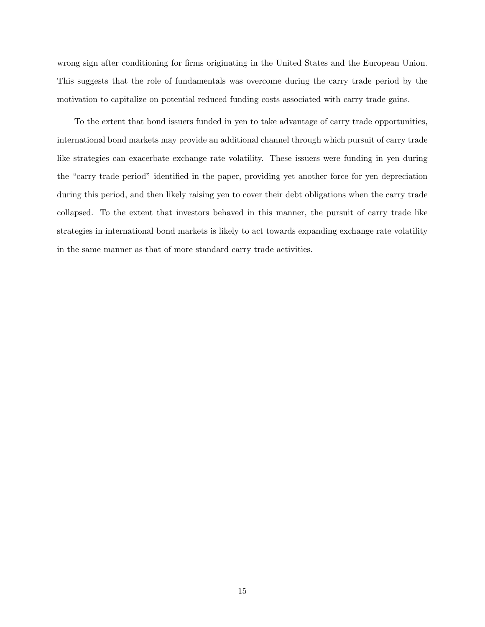wrong sign after conditioning for firms originating in the United States and the European Union. This suggests that the role of fundamentals was overcome during the carry trade period by the motivation to capitalize on potential reduced funding costs associated with carry trade gains.

To the extent that bond issuers funded in yen to take advantage of carry trade opportunities, international bond markets may provide an additional channel through which pursuit of carry trade like strategies can exacerbate exchange rate volatility. These issuers were funding in yen during the "carry trade period" identified in the paper, providing yet another force for yen depreciation during this period, and then likely raising yen to cover their debt obligations when the carry trade collapsed. To the extent that investors behaved in this manner, the pursuit of carry trade like strategies in international bond markets is likely to act towards expanding exchange rate volatility in the same manner as that of more standard carry trade activities.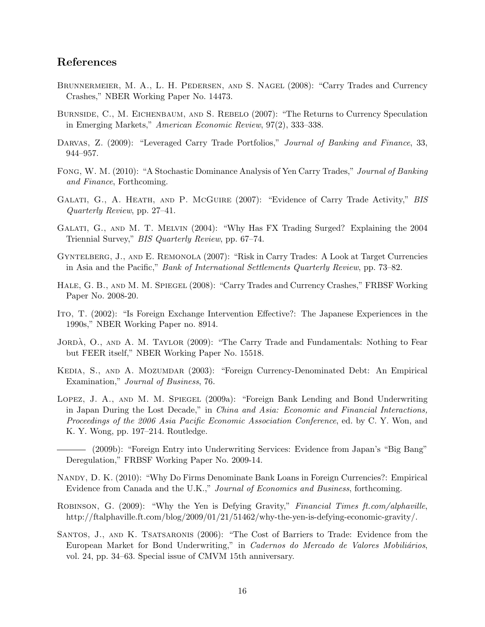## References

- Brunnermeier, M. A., L. H. Pedersen, and S. Nagel (2008): "Carry Trades and Currency Crashes," NBER Working Paper No. 14473.
- Burnside, C., M. Eichenbaum, and S. Rebelo (2007): "The Returns to Currency Speculation in Emerging Markets," American Economic Review, 97(2), 333–338.
- DARVAS, Z. (2009): "Leveraged Carry Trade Portfolios," Journal of Banking and Finance, 33, 944–957.
- Fong, W. M. (2010): "A Stochastic Dominance Analysis of Yen Carry Trades," Journal of Banking and Finance, Forthcoming.
- GALATI, G., A. HEATH, AND P. MCGUIRE (2007): "Evidence of Carry Trade Activity," BIS Quarterly Review, pp. 27–41.
- Galati, G., and M. T. Melvin (2004): "Why Has FX Trading Surged? Explaining the 2004 Triennial Survey," BIS Quarterly Review, pp. 67–74.
- Gyntelberg, J., and E. Remonola (2007): "Risk in Carry Trades: A Look at Target Currencies in Asia and the Pacific," Bank of International Settlements Quarterly Review, pp. 73–82.
- Hale, G. B., and M. M. Spiegel (2008): "Carry Trades and Currency Crashes," FRBSF Working Paper No. 2008-20.
- Ito, T. (2002): "Is Foreign Exchange Intervention Effective?: The Japanese Experiences in the 1990s," NBER Working Paper no. 8914.
- JORDA, O., AND A. M. TAYLOR (2009): "The Carry Trade and Fundamentals: Nothing to Fear but FEER itself," NBER Working Paper No. 15518.
- Kedia, S., and A. Mozumdar (2003): "Foreign Currency-Denominated Debt: An Empirical Examination," Journal of Business, 76.
- Lopez, J. A., and M. M. Spiegel (2009a): "Foreign Bank Lending and Bond Underwriting in Japan During the Lost Decade," in China and Asia: Economic and Financial Interactions, Proceedings of the 2006 Asia Pacific Economic Association Conference, ed. by C. Y. Won, and K. Y. Wong, pp. 197–214. Routledge.
	- (2009b): "Foreign Entry into Underwriting Services: Evidence from Japan's "Big Bang" Deregulation," FRBSF Working Paper No. 2009-14.
- Nandy, D. K. (2010): "Why Do Firms Denominate Bank Loans in Foreign Currencies?: Empirical Evidence from Canada and the U.K.," Journal of Economics and Business, forthcoming.
- Robinson, G. (2009): "Why the Yen is Defying Gravity," Financial Times ft.com/alphaville, http://ftalphaville.ft.com/blog/2009/01/21/51462/why-the-yen-is-defying-economic-gravity/.
- Santos, J., and K. Tsatsaronis (2006): "The Cost of Barriers to Trade: Evidence from the European Market for Bond Underwriting," in Cadernos do Mercado de Valores Mobiliários, vol. 24, pp. 34–63. Special issue of CMVM 15th anniversary.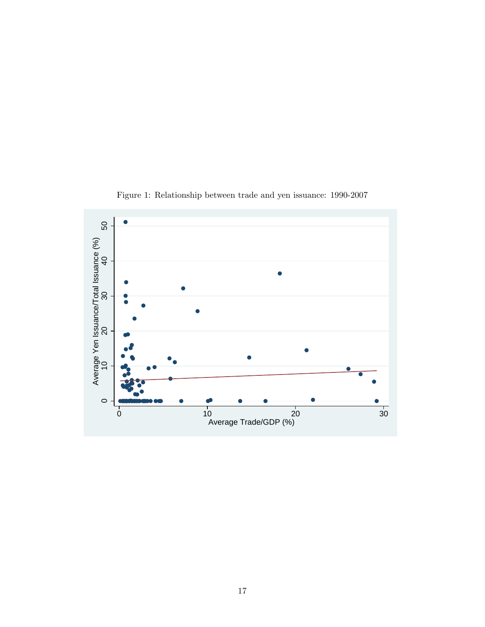<span id="page-18-0"></span>

Figure 1: Relationship between trade and yen issuance: 1990-2007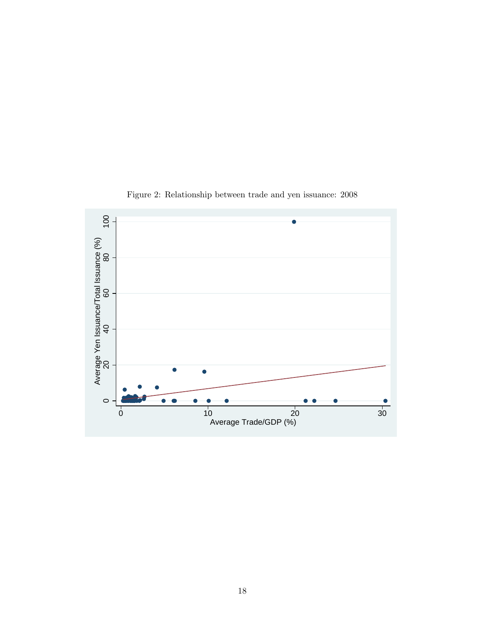<span id="page-19-0"></span>

Figure 2: Relationship between trade and yen issuance: 2008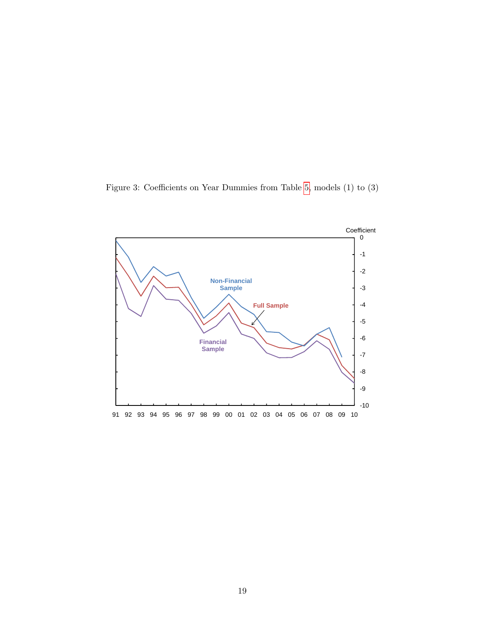<span id="page-20-0"></span>Figure 3: Coefficients on Year Dummies from Table [5,](#page-26-0) models (1) to (3)

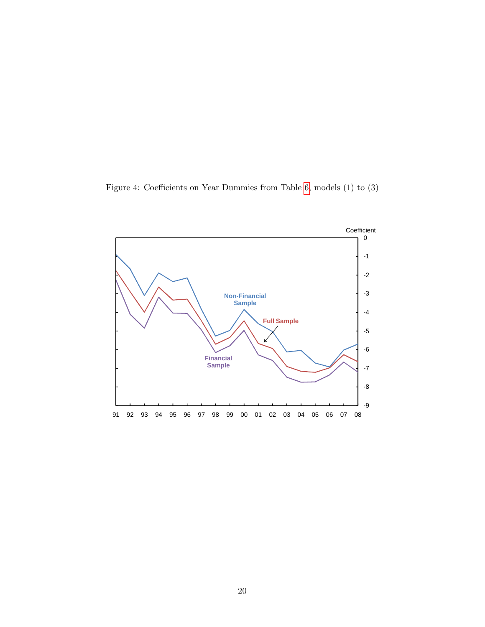<span id="page-21-0"></span>Figure 4: Coefficients on Year Dummies from Table [6,](#page-27-0) models (1) to (3)

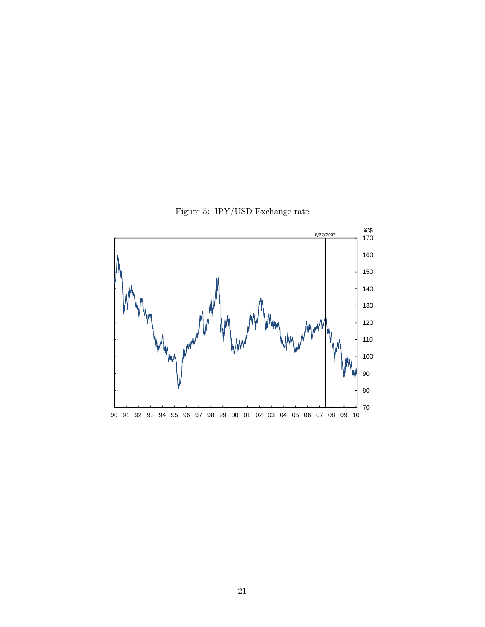Figure 5: JPY/USD Exchange rate

<span id="page-22-0"></span>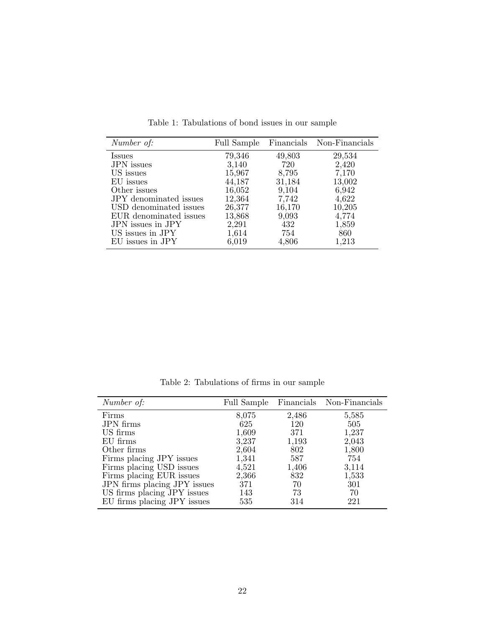<span id="page-23-0"></span>

| Number of:                    |        |        | Full Sample Financials Non-Financials |
|-------------------------------|--------|--------|---------------------------------------|
| <i>Issues</i>                 | 79,346 | 49,803 | 29,534                                |
| <b>JPN</b> issues             | 3,140  | 720    | 2,420                                 |
| US issues                     | 15,967 | 8,795  | 7,170                                 |
| EU issues                     | 44,187 | 31,184 | 13,002                                |
| Other issues                  | 16,052 | 9,104  | 6,942                                 |
| <b>JPY</b> denominated issues | 12,364 | 7,742  | 4,622                                 |
| USD denominated issues        | 26,377 | 16,170 | 10,205                                |
| EUR denominated issues        | 13,868 | 9,093  | 4,774                                 |
| JPN issues in JPY             | 2,291  | 432    | 1,859                                 |
| US issues in JPY              | 1,614  | 754    | 860                                   |
| EU issues in JPY              | 6,019  | 4,806  | 1,213                                 |

Table 1: Tabulations of bond issues in our sample

Table 2: Tabulations of firms in our sample

<span id="page-23-1"></span>

| Number of:                   | Full Sample |       | Financials Non-Financials |
|------------------------------|-------------|-------|---------------------------|
| Firms                        | 8,075       | 2,486 | 5,585                     |
| <b>JPN</b> firms             | 625         | 120   | 505                       |
| US firms                     | 1,609       | 371   | 1,237                     |
| EU firms                     | 3,237       | 1,193 | 2,043                     |
| Other firms                  | 2,604       | 802   | 1,800                     |
| Firms placing JPY issues     | 1,341       | 587   | 754                       |
| Firms placing USD issues     | 4,521       | 1,406 | 3,114                     |
| Firms placing EUR issues     | 2,366       | 832   | 1,533                     |
| JPN firms placing JPY issues | 371         | 70    | 301                       |
| US firms placing JPY issues  | 143         | 73    | 70                        |
| EU firms placing JPY issues  | 535         | 314   | 221                       |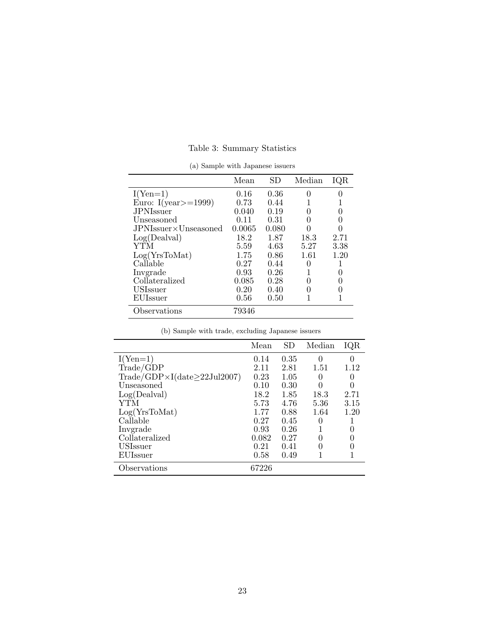|                      | Mean   | SD    | Median | IQR  |
|----------------------|--------|-------|--------|------|
| $I(Yen=1)$           | 0.16   | 0.36  |        |      |
| Euro: I(year>=1999)  | 0.73   | 0.44  |        |      |
| <b>JPNIssuer</b>     | 0.040  | 0.19  |        | 0    |
| Unseasoned           | 0.11   | 0.31  |        | O    |
| JPNIssuer×Unseasoned | 0.0065 | 0.080 |        |      |
| Log(Dealval)         | 18.2   | 1.87  | 18.3   | 2.71 |
| YTM                  | 5.59   | 4.63  | 5.27   | 3.38 |
| Log(YrsToMat)        | 1.75   | 0.86  | 1.61   | 1.20 |
| Callable             | 0.27   | 0.44  |        |      |
| Invgrade             | 0.93   | 0.26  |        |      |
| Collateralized       | 0.085  | 0.28  |        |      |
| <b>USIssuer</b>      | 0.20   | 0.40  |        |      |
| EUIssuer             | 0.56   | 0.50  |        |      |
| Observations         | 79346  |       |        |      |

Table 3: Summary Statistics

(a) Sample with Japanese issuers

|  |  | (b) Sample with trade, excluding Japanese issuers |  |  |  |  |
|--|--|---------------------------------------------------|--|--|--|--|
|--|--|---------------------------------------------------|--|--|--|--|

<span id="page-24-0"></span>

|                                                                        | Mean  | SD   | Median | IQR  |
|------------------------------------------------------------------------|-------|------|--------|------|
| $I(Yen=1)$                                                             | 0.14  | 0.35 | 0      | 0    |
| Trade/GDP                                                              | 2.11  | 2.81 | 1.51   | 1.12 |
| $\text{Trade}/\text{GDP} \times I(\text{date}\geq 22 \text{Jul} 2007)$ | 0.23  | 1.05 |        |      |
| Unseasoned                                                             | 0.10  | 0.30 |        | 0    |
| Log(Dealval)                                                           | 18.2  | 1.85 | 18.3   | 2.71 |
| YTM                                                                    | 5.73  | 4.76 | 5.36   | 3.15 |
| Log(YrsToMat)                                                          | 1.77  | 0.88 | 1.64   | 1.20 |
| Callable                                                               | 0.27  | 0.45 | 0      |      |
| Invgrade                                                               | 0.93  | 0.26 |        | 0    |
| Collateralized                                                         | 0.082 | 0.27 |        |      |
| <b>USIssuer</b>                                                        | 0.21  | 0.41 |        |      |
| EUIssuer                                                               | 0.58  | 0.49 |        |      |
| Observations                                                           | 67226 |      |        |      |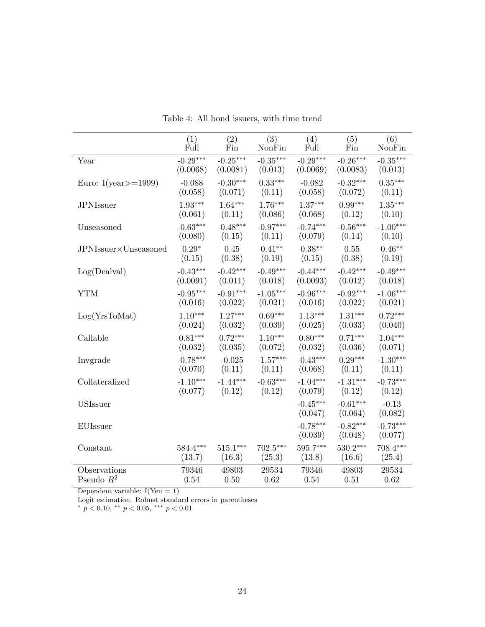<span id="page-25-0"></span>

|                         | (1)        | (2)        | (3)        | (4)                   | (5)                   | (6)                   |
|-------------------------|------------|------------|------------|-----------------------|-----------------------|-----------------------|
|                         | Full       | Fin        | NonFin     | Full                  | Fin                   | NonFin                |
| Year                    | $-0.29***$ | $-0.25***$ | $-0.35***$ | $-0.29***$            | $-0.26***$            | $-0.35***$            |
|                         | (0.0068)   | (0.0081)   | (0.013)    | (0.0069)              | (0.0083)              | (0.013)               |
| Euro: I(year $>=$ 1999) | $-0.088$   | $-0.30***$ | $0.33***$  | $-0.082$              | $-0.32***$            | $0.35***$             |
|                         | (0.058)    | (0.071)    | (0.11)     | (0.058)               | (0.072)               | (0.11)                |
| <b>JPNIssuer</b>        | $1.93***$  | $1.64***$  | $1.76***$  | $1.37***$             | $0.99***$             | $1.35***$             |
|                         | (0.061)    | (0.11)     | (0.086)    | (0.068)               | (0.12)                | (0.10)                |
| Unseasoned              | $-0.63***$ | $-0.48***$ | $-0.97***$ | $-0.74***$            | $-0.56***$            | $-1.00***$            |
|                         | (0.080)    | (0.15)     | (0.11)     | (0.079)               | (0.14)                | (0.10)                |
| JPNIssuer×Unseasoned    | $0.29*$    | 0.45       | $0.41***$  | $0.38***$             | 0.55                  | $0.46**$              |
|                         | (0.15)     | (0.38)     | (0.19)     | (0.15)                | (0.38)                | (0.19)                |
| Log(Dealval)            | $-0.43***$ | $-0.42***$ | $-0.49***$ | $-0.44***$            | $-0.42***$            | $-0.49***$            |
|                         | (0.0091)   | (0.011)    | (0.018)    | (0.0093)              | (0.012)               | (0.018)               |
| <b>YTM</b>              | $-0.95***$ | $-0.91***$ | $-1.05***$ | $-0.96***$            | $-0.92***$            | $-1.06***$            |
|                         | (0.016)    | (0.022)    | (0.021)    | (0.016)               | (0.022)               | (0.021)               |
| Log(YrsToMat)           | $1.10***$  | $1.27***$  | $0.69***$  | $1.13***$             | $1.31***$             | $0.72***$             |
|                         | (0.024)    | (0.032)    | (0.039)    | (0.025)               | (0.033)               | (0.040)               |
| Callable                | $0.81***$  | $0.72***$  | $1.10***$  | $0.80***$             | $0.71***$             | $1.04***$             |
|                         | (0.032)    | (0.035)    | (0.072)    | (0.032)               | (0.036)               | (0.071)               |
| Invgrade                | $-0.78***$ | $-0.025$   | $-1.57***$ | $-0.43***$            | $0.29***$             | $-1.30***$            |
|                         | (0.070)    | (0.11)     | (0.11)     | (0.068)               | (0.11)                | (0.11)                |
| Collateralized          | $-1.10***$ | $-1.44***$ | $-0.63***$ | $-1.04***$            | $-1.31***$            | $-0.73***$            |
|                         | (0.077)    | (0.12)     | (0.12)     | (0.079)               | (0.12)                | (0.12)                |
| <b>USIssuer</b>         |            |            |            | $-0.45***$<br>(0.047) | $-0.61***$<br>(0.064) | $-0.13$<br>(0.082)    |
| EUIssuer                |            |            |            | $-0.78***$<br>(0.039) | $-0.82***$<br>(0.048) | $-0.73***$<br>(0.077) |
| Constant                | $584.4***$ | $515.1***$ | $702.5***$ | $595.7***$            | $530.2***$            | 708.4***              |
|                         | (13.7)     | (16.3)     | (25.3)     | (13.8)                | (16.6)                | (25.4)                |
| Observations            | 79346      | 49803      | 29534      | 79346                 | 49803                 | 29534                 |
| Pseudo $R^2$            | 0.54       | 0.50       | 0.62       | 0.54                  | 0.51                  | 0.62                  |

Table 4: All bond issuers, with time trend

Logit estimation. Robust standard errors in parentheses<br>\*  $p < 0.10$ , \*\*  $p < 0.05$ , \*\*\*  $p < 0.01$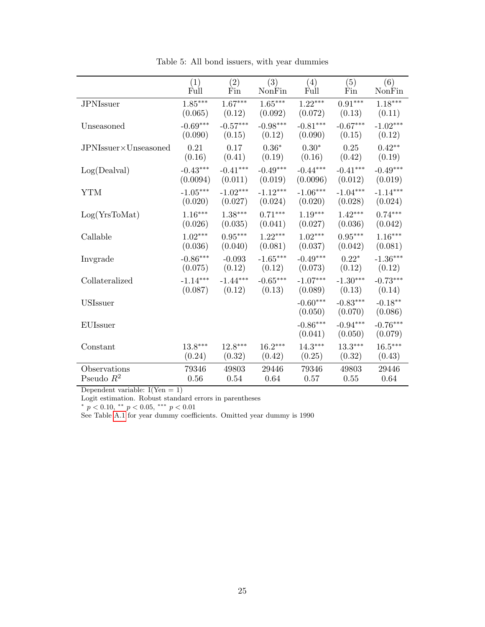<span id="page-26-0"></span>

|                      | (1)        | (2)        | (3)        | (4)                   | (5)                   | (6)                   |
|----------------------|------------|------------|------------|-----------------------|-----------------------|-----------------------|
|                      | Full       | Fin        | NonFin     | Full                  | Fin                   | NonFin                |
| <b>JPNIssuer</b>     | $1.85***$  | $1.67***$  | $1.65***$  | $1.22***$             | $0.91***$             | $1.18***$             |
|                      | (0.065)    | (0.12)     | (0.092)    | (0.072)               | (0.13)                | (0.11)                |
| Unseasoned           | $-0.69***$ | $-0.57***$ | $-0.98***$ | $-0.81***$            | $-0.67***$            | $-1.02***$            |
|                      | (0.090)    | (0.15)     | (0.12)     | (0.090)               | (0.15)                | (0.12)                |
| JPNIssuer×Unseasoned | 0.21       | 0.17       | $0.36*$    | $0.30*$               | 0.25                  | $0.42**$              |
|                      | (0.16)     | (0.41)     | (0.19)     | (0.16)                | (0.42)                | (0.19)                |
| Log(Dealval)         | $-0.43***$ | $-0.41***$ | $-0.49***$ | $-0.44***$            | $-0.41***$            | $-0.49***$            |
|                      | (0.0094)   | (0.011)    | (0.019)    | (0.0096)              | (0.012)               | (0.019)               |
| <b>YTM</b>           | $-1.05***$ | $-1.02***$ | $-1.12***$ | $-1.06***$            | $-1.04***$            | $-1.14***$            |
|                      | (0.020)    | (0.027)    | (0.024)    | (0.020)               | (0.028)               | (0.024)               |
| Log(YrsToMat)        | $1.16***$  | $1.38***$  | $0.71***$  | $1.19***$             | $1.42***$             | $0.74***$             |
|                      | (0.026)    | (0.035)    | (0.041)    | (0.027)               | (0.036)               | (0.042)               |
| Callable             | $1.02***$  | $0.95***$  | $1.22***$  | $1.02***$             | $0.95***$             | $1.16***$             |
|                      | (0.036)    | (0.040)    | (0.081)    | (0.037)               | (0.042)               | (0.081)               |
| Invgrade             | $-0.86***$ | $-0.093$   | $-1.65***$ | $-0.49***$            | $0.22*$               | $-1.36***$            |
|                      | (0.075)    | (0.12)     | (0.12)     | (0.073)               | (0.12)                | (0.12)                |
| Collateralized       | $-1.14***$ | $-1.44***$ | $-0.65***$ | $-1.07***$            | $-1.30***$            | $-0.73***$            |
|                      | (0.087)    | (0.12)     | (0.13)     | (0.089)               | (0.13)                | (0.14)                |
| <b>USIssuer</b>      |            |            |            | $-0.60***$<br>(0.050) | $-0.83***$<br>(0.070) | $-0.18**$<br>(0.086)  |
| <b>EUIssuer</b>      |            |            |            | $-0.86***$<br>(0.041) | $-0.94***$<br>(0.050) | $-0.76***$<br>(0.079) |
| Constant             | $13.8***$  | $12.8***$  | $16.2***$  | $14.3***$             | $13.3***$             | $16.5***$             |
|                      | (0.24)     | (0.32)     | (0.42)     | (0.25)                | (0.32)                | (0.43)                |
| Observations         | 79346      | 49803      | 29446      | 79346                 | 49803                 | 29446                 |
| Pseudo $R^2$         | 0.56       | 0.54       | 0.64       | 0.57                  | 0.55                  | 0.64                  |

Table 5: All bond issuers, with year dummies

Logit estimation. Robust standard errors in parentheses<br>\*  $p < 0.10$ , \*\*  $p < 0.05$ , \*\*\*  $p < 0.01$ 

See Table [A.1](#page-29-0) for year dummy coefficients. Omitted year dummy is 1990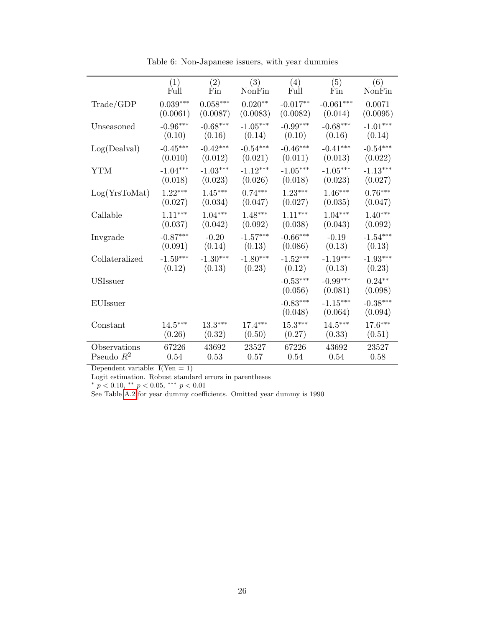<span id="page-27-0"></span>

|                | (1)        | (2)        | (3)        | (4)                   | (5)                   | (6)                   |
|----------------|------------|------------|------------|-----------------------|-----------------------|-----------------------|
|                | Full       | Fin        | NonFin     | Full                  | Fin                   | NonFin                |
| Trade/GDP      | $0.039***$ | $0.058***$ | $0.020**$  | $-0.017**$            | $-0.061***$           | 0.0071                |
|                | (0.0061)   | (0.0087)   | (0.0083)   | (0.0082)              | (0.014)               | (0.0095)              |
| Unseasoned     | $-0.96***$ | $-0.68***$ | $-1.05***$ | $-0.99***$            | $-0.68***$            | $-1.01***$            |
|                | (0.10)     | (0.16)     | (0.14)     | (0.10)                | (0.16)                | (0.14)                |
| Log(Dealval)   | $-0.45***$ | $-0.42***$ | $-0.54***$ | $-0.46***$            | $-0.41***$            | $-0.54***$            |
|                | (0.010)    | (0.012)    | (0.021)    | (0.011)               | (0.013)               | (0.022)               |
| YTM            | $-1.04***$ | $-1.03***$ | $-1.12***$ | $-1.05***$            | $-1.05***$            | $-1.13***$            |
|                | (0.018)    | (0.023)    | (0.026)    | (0.018)               | (0.023)               | (0.027)               |
| Log(YrsToMat)  | $1.22***$  | $1.45***$  | $0.74***$  | $1.23***$             | $1.46***$             | $0.76***$             |
|                | (0.027)    | (0.034)    | (0.047)    | (0.027)               | (0.035)               | (0.047)               |
| Callable       | $1.11***$  | $1.04***$  | $1.48***$  | $1.11***$             | $1.04***$             | $1.40***$             |
|                | (0.037)    | (0.042)    | (0.092)    | (0.038)               | (0.043)               | (0.092)               |
| Invgrade       | $-0.87***$ | $-0.20$    | $-1.57***$ | $-0.66***$            | $-0.19$               | $-1.54***$            |
|                | (0.091)    | (0.14)     | (0.13)     | (0.086)               | (0.13)                | (0.13)                |
| Collateralized | $-1.59***$ | $-1.30***$ | $-1.80***$ | $-1.52***$            | $-1.19***$            | $-1.93***$            |
|                | (0.12)     | (0.13)     | (0.23)     | (0.12)                | (0.13)                | (0.23)                |
| USIssuer       |            |            |            | $-0.53***$<br>(0.056) | $-0.99***$<br>(0.081) | $0.24***$<br>(0.098)  |
| EUIssuer       |            |            |            | $-0.83***$<br>(0.048) | $-1.15***$<br>(0.064) | $-0.38***$<br>(0.094) |
| Constant       | $14.5***$  | $13.3***$  | $17.4***$  | $15.3***$             | $14.5***$             | $17.6***$             |
|                | (0.26)     | (0.32)     | (0.50)     | (0.27)                | (0.33)                | (0.51)                |
| Observations   | 67226      | 43692      | 23527      | 67226                 | 43692                 | 23527                 |
| Pseudo $R^2$   | 0.54       | 0.53       | 0.57       | 0.54                  | 0.54                  | 0.58                  |

Table 6: Non-Japanese issuers, with year dummies

Logit estimation. Robust standard errors in parentheses<br>\*  $p < 0.10$ , \*\*  $p < 0.05$ , \*\*\*  $p < 0.01$ 

See Table [A.2](#page-30-0) for year dummy coefficients. Omitted year dummy is 1990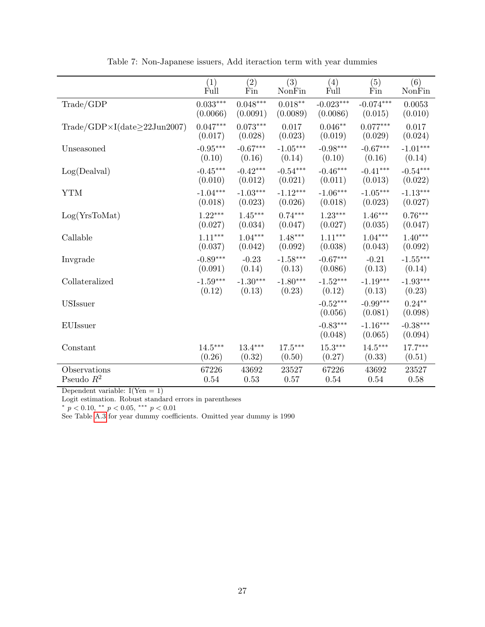<span id="page-28-0"></span>

|                                                                       | (1)                    | (2)        | (3)                | (4)                   | (5)                   | (6)                   |
|-----------------------------------------------------------------------|------------------------|------------|--------------------|-----------------------|-----------------------|-----------------------|
|                                                                       | Full                   | Fin        | NonFin             | Full                  | Fin                   | NonFin                |
| Trade/GDP                                                             | $0.033^{\ast\ast\ast}$ | $0.048***$ | $0.018^{\ast\ast}$ | $-0.023***$           | $-0.074***$           | 0.0053                |
|                                                                       | (0.0066)               | (0.0091)   | (0.0089)           | (0.0086)              | (0.015)               | (0.010)               |
| $\text{Trade}/\text{GDP} \times I(\text{date}\geq 22 \text{Jun2007})$ | $0.047***$             | $0.073***$ | 0.017              | $0.046**$             | $0.077***$            | 0.017                 |
|                                                                       | (0.017)                | (0.028)    | (0.023)            | (0.019)               | (0.029)               | (0.024)               |
| Unseasoned                                                            | $-0.95***$             | $-0.67***$ | $-1.05***$         | $-0.98***$            | $-0.67***$            | $-1.01***$            |
|                                                                       | (0.10)                 | (0.16)     | (0.14)             | (0.10)                | (0.16)                | (0.14)                |
| Log(Dealval)                                                          | $-0.45***$             | $-0.42***$ | $-0.54***$         | $-0.46***$            | $-0.41***$            | $-0.54***$            |
|                                                                       | (0.010)                | (0.012)    | (0.021)            | (0.011)               | (0.013)               | (0.022)               |
| <b>YTM</b>                                                            | $-1.04***$             | $-1.03***$ | $-1.12***$         | $-1.06***$            | $-1.05***$            | $-1.13***$            |
|                                                                       | (0.018)                | (0.023)    | (0.026)            | (0.018)               | (0.023)               | (0.027)               |
| Log(YrsToMat)                                                         | $1.22***$              | $1.45***$  | $0.74***$          | $1.23***$             | $1.46***$             | $0.76***$             |
|                                                                       | (0.027)                | (0.034)    | (0.047)            | (0.027)               | (0.035)               | (0.047)               |
| Callable                                                              | $1.11***$              | $1.04***$  | $1.48***$          | $1.11***$             | $1.04***$             | $1.40***$             |
|                                                                       | (0.037)                | (0.042)    | (0.092)            | (0.038)               | (0.043)               | (0.092)               |
| Invgrade                                                              | $-0.89***$             | $-0.23$    | $-1.58***$         | $-0.67***$            | $-0.21$               | $-1.55***$            |
|                                                                       | (0.091)                | (0.14)     | (0.13)             | (0.086)               | (0.13)                | (0.14)                |
| Collateralized                                                        | $-1.59***$             | $-1.30***$ | $-1.80***$         | $-1.52***$            | $-1.19***$            | $-1.93***$            |
|                                                                       | (0.12)                 | (0.13)     | (0.23)             | (0.12)                | (0.13)                | (0.23)                |
| <b>USIssuer</b>                                                       |                        |            |                    | $-0.52***$<br>(0.056) | $-0.99***$<br>(0.081) | $0.24***$<br>(0.098)  |
| EUIssuer                                                              |                        |            |                    | $-0.83***$<br>(0.048) | $-1.16***$<br>(0.065) | $-0.38***$<br>(0.094) |
| Constant                                                              | $14.5^{\ast\ast\ast}$  | $13.4***$  | $17.5***$          | $15.3***$             | $14.5***$             | $17.7***$             |
|                                                                       | (0.26)                 | (0.32)     | (0.50)             | (0.27)                | (0.33)                | (0.51)                |
| Observations                                                          | 67226                  | 43692      | 23527              | 67226                 | 43692                 | 23527                 |
| Pseudo $R^2$                                                          | 0.54                   | 0.53       | 0.57               | 0.54                  | 0.54                  | 0.58                  |

Table 7: Non-Japanese issuers, Add iteraction term with year dummies

Logit estimation. Robust standard errors in parentheses<br>\*  $p < 0.10$ , \*\*  $p < 0.05$ , \*\*\*  $p < 0.01$ 

See Table [A.3](#page-31-0) for year dummy coefficients. Omitted year dummy is 1990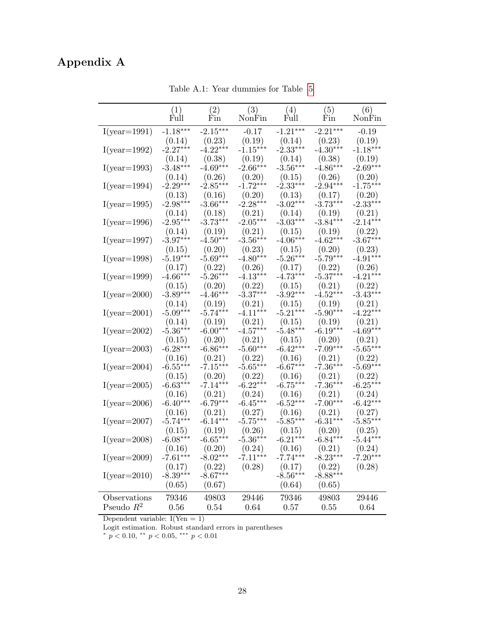# <span id="page-29-0"></span>Appendix A

|                                   | (1)                  | (2)                  | (3)                  | (4)                  | (5)                  | (6)                  |
|-----------------------------------|----------------------|----------------------|----------------------|----------------------|----------------------|----------------------|
|                                   | Full                 | Fin                  | NonFin               | Full                 | Fin                  | NonFin               |
| $\mathcal{I}(\text{year}=1991)$   | $-1.18***$           | $-2.15***$           | $-0.17$              | $-1.21***$           | $-2.21***$           | $-0.19$              |
|                                   | (0.14)               | (0.23)               | (0.19)               | (0.14)               | (0.23)               | (0.19)               |
| $\mathcal{I}(\text{year}{=}1992)$ | $-2.27***$           | $-4.22***$           | $-1.15***$           | $-2.33***$           | $-4.30***$           | $-1.18***$           |
|                                   | (0.14)               | (0.38)               | (0.19)               | (0.14)               | (0.38)               | (0.19)               |
| $\mathcal{I}(\text{year}{=}1993)$ | $-3.48***$           | $-4.69***$           | $-2.66***$           | $-3.56***$           | $-4.86***$           | $-2.69***$           |
|                                   | (0.14)               | (0.26)               | (0.20)               | (0.15)               | (0.26)               | (0.20)               |
| $\mathcal{I}(\text{year}{=}1994)$ | $-2.29***$           | $-2.85***$           | $-1.72***$           | $-2.33***$           | $-2.94***$           | $-1.75***$           |
|                                   | (0.13)               | (0.16)               | (0.20)               | (0.13)               | (0.17)               | (0.20)               |
| $I(year=1995)$                    | $-2.98***$           | $-3.66***$           | $-2.28***$           | $-3.02***$           | $-3.73***$           | $-2.33***$           |
|                                   | (0.14)               | (0.18)               | (0.21)               | (0.14)               | (0.19)               | (0.21)<br>$-2.14***$ |
| $I(year=1996)$                    | $-2.95***$           | $-3.73***$           | $-2.05***$           | $-3.03***$           | $-3.84***$           |                      |
| $I(year=1997)$                    | (0.14)<br>$-3.97***$ | (0.19)<br>$-4.50***$ | (0.21)<br>$-3.56***$ | (0.15)<br>$-4.06***$ | (0.19)<br>$-4.62***$ | (0.22)<br>$-3.67***$ |
|                                   | (0.15)               | (0.20)               | (0.23)               | (0.15)               | (0.20)               | (0.23)               |
| $I(year=1998)$                    | $-5.19***$           | $-5.69***$           | $-4.80***$           | $-5.26***$           | $-5.79***$           | $-4.91***$           |
|                                   | (0.17)               | (0.22)               | (0.26)               | (0.17)               | (0.22)               | (0.26)               |
| $I(year=1999)$                    | $-4.66***$           | $-5.26***$           | $-4.13***$           | $-4.73***$           | $-5.37***$           | $-4.21***$           |
|                                   | (0.15)               | (0.20)               | (0.22)               | (0.15)               | (0.21)               | (0.22)               |
| $\mathcal{I}(\text{year}{=}2000)$ | $-3.89***$           | $-4.46***$           | $-3.37***$           | $-3.92***$           | $-4.52***$           | $-3.43***$           |
|                                   | (0.14)               | (0.19)               | (0.21)               | (0.15)               | (0.19)               | (0.21)               |
| $I(year=2001)$                    | $-5.09***$           | $-5.74***$           | $-4.11***$           | $-5.21***$           | $-5.90***$           | $-4.22***$           |
|                                   | (0.14)               | (0.19)               | (0.21)               | (0.15)               | (0.19)               | (0.21)               |
| $I(year=2002)$                    | $-5.36***$           | $-6.00***$           | $-4.57***$           | $-5.48***$           | $-6.19***$           | $-4.69***$           |
|                                   | (0.15)               | (0.20)               | (0.21)               | (0.15)               | (0.20)               | (0.21)               |
| $\mathcal{I}(\text{year}{=}2003)$ | $-6.28***$           | $-6.86***$           | $-5.60***$           | $-6.42***$           | $-7.09***$           | $-5.65***$           |
|                                   | (0.16)<br>$-6.55***$ | (0.21)<br>$-7.15***$ | (0.22)<br>$-5.65***$ | (0.16)<br>$-6.67***$ | (0.21)<br>$-7.36***$ | (0.22)<br>$-5.69***$ |
| $I(year=2004)$                    |                      |                      |                      | (0.16)               | (0.21)               | (0.22)               |
| $\mathcal{I}(\text{year}{=}2005)$ | (0.15)<br>$-6.63***$ | (0.20)<br>$-7.14***$ | (0.22)<br>$-6.22***$ | $-6.75***$           | $-7.36***$           | $-6.25***$           |
|                                   | (0.16)               | (0.21)               | (0.24)               | (0.16)               | (0.21)               | (0.24)               |
| $I(year=2006)$                    | $-6.40***$           | $-6.79***$           | $-6.45***$           | $-6.52***$           | $-7.00***$           | $-6.42***$           |
|                                   | (0.16)               | (0.21)               | (0.27)               | (0.16)               | (0.21)               | (0.27)               |
| $\mathcal{I}(\text{year}=2007)$   | $-5.74***$           | $-6.14***$           | $-5.75***$           | $-5.85***$           | $-6.31***$           | $-5.85***$           |
|                                   | (0.15)               | (0.19)               | (0.26)               | (0.15)               | (0.20)               | (0.25)               |
| $\mathcal{I}(\text{year}{=}2008)$ | $-6.08***$           | $-6.65***$           | $-5.36***$           | $-6.21***$           | $-6.84***$           | $-5.44***$           |
|                                   | (0.16)               | (0.20)               | (0.24)               | (0.16)               | (0.21)               | (0.24)               |
| $I(year=2009)$                    | $-7.61***$           | $-8.02***$           | $-7.11***$           | $-7.74***$           | $-8.23***$           | $-7.20***$           |
|                                   | (0.17)               | (0.22)               | (0.28)               | (0.17)               | (0.22)               | (0.28)               |
| $\mathcal{I}(\text{year}{=}2010)$ | $-8.39***$           | $-8.67***$           |                      | $-8.56***$           | $-8.88***$           |                      |
|                                   | (0.65)               | (0.67)               |                      | (0.64)               | (0.65)               |                      |
| Observations                      | 79346                | 49803                | 29446                | 79346                | 49803                | 29446                |
| Pseudo $\mathbb{R}^2$             | $0.56\,$             | 0.54                 | 0.64                 | $0.57\,$             | 0.55                 | 0.64                 |

Table A.1: Year dummies for Table [5](#page-26-0)

Dependent variable:  $I(Yen = 1)$ 

Logit estimation. Robust standard errors in parentheses \*  $p < 0.10$ , \*\*  $p < 0.05$ , \*\*\*  $p < 0.01$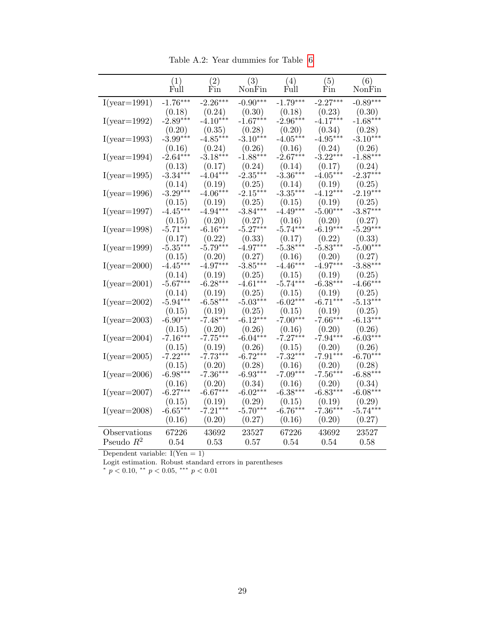Table A.2: Year dummies for Table [6](#page-27-0)

<span id="page-30-0"></span>

|                                   | (1)<br>Full | (2)<br>$\operatorname{Fin}$ | (3)<br>NonFin | (4)<br>Full | (5)<br>Fin | (6)<br>NonFin |
|-----------------------------------|-------------|-----------------------------|---------------|-------------|------------|---------------|
| $\mathcal{I}(\text{year}{=}1991)$ | $-1.76***$  | $-2.26***$                  | $-0.90***$    | $-1.79***$  | $-2.27***$ | $-0.89***$    |
|                                   | (0.18)      | (0.24)                      | (0.30)        | (0.18)      | (0.23)     | (0.30)        |
| $\mathcal{I}(\text{year}{=}1992)$ | $-2.89***$  | $-4.10***$                  | $-1.67***$    | $-2.96***$  | $-4.17***$ | $-1.68***$    |
|                                   | (0.20)      | (0.35)                      | (0.28)        | (0.20)      | (0.34)     | (0.28)        |
| $\mathcal{I}(\text{year}{=}1993)$ | $-3.99***$  | $-4.85***$                  | $-3.10***$    | $-4.05***$  | $-4.95***$ | $-3.10***$    |
|                                   | (0.16)      | (0.24)                      | (0.26)        | (0.16)      | (0.24)     | (0.26)        |
| $I(year=1994)$                    | $-2.64***$  | $-3.18***$                  | $-1.88***$    | $-2.67***$  | $-3.22***$ | $-1.88***$    |
|                                   | (0.13)      | (0.17)                      | (0.24)        | (0.14)      | (0.17)     | (0.24)        |
| $\mathcal{I}(\text{year}{=}1995)$ | $-3.34***$  | $-4.04***$                  | $-2.35***$    | $-3.36***$  | $-4.05***$ | $-2.37***$    |
|                                   | (0.14)      | (0.19)                      | (0.25)        | (0.14)      | (0.19)     | (0.25)        |
| $\mathcal{I}(\text{year}{=}1996)$ | $-3.29***$  | $-4.06***$                  | $-2.15***$    | $-3.35***$  | $-4.12***$ | $-2.19***$    |
|                                   | (0.15)      | (0.19)                      | (0.25)        | (0.15)      | (0.19)     | (0.25)        |
| $\mathcal{I}(\text{year}{=}1997)$ | $-4.45***$  | $-4.94***$                  | $-3.84***$    | $-4.49***$  | $-5.00***$ | $-3.87***$    |
|                                   | (0.15)      | (0.20)                      | (0.27)        | (0.16)      | (0.20)     | (0.27)        |
| $\mathcal{I}(\text{year}{=}1998)$ | $-5.71***$  | $-6.16***$                  | $-5.27***$    | $-5.74***$  | $-6.19***$ | $-5.29***$    |
|                                   | (0.17)      | (0.22)                      | (0.33)        | (0.17)      | (0.22)     | (0.33)        |
| $I(year=1999)$                    | $-5.35***$  | $-5.79***$                  | $-4.97***$    | $-5.38***$  | $-5.83***$ | $-5.00***$    |
|                                   | (0.15)      | (0.20)                      | (0.27)        | (0.16)      | (0.20)     | (0.27)        |
| $\mathcal{I}(\text{year}{=}2000)$ | $-4.45***$  | $-4.97***$                  | $-3.85***$    | $-4.46***$  | $-4.97***$ | $-3.88***$    |
|                                   | (0.14)      | (0.19)                      | (0.25)        | (0.15)      | (0.19)     | (0.25)        |
| $\mathcal{I}(\text{year}{=}2001)$ | $-5.67***$  | $-6.28***$                  | $-4.61***$    | $-5.74***$  | $-6.38***$ | $-4.66***$    |
|                                   | (0.14)      | (0.19)                      | (0.25)        | (0.15)      | (0.19)     | (0.25)        |
| $\mathcal{I}(\text{year}{=}2002)$ | $-5.94***$  | $-6.58***$                  | $-5.03***$    | $-6.02***$  | $-6.71***$ | $-5.13***$    |
|                                   | (0.15)      | (0.19)                      | (0.25)        | (0.15)      | (0.19)     | (0.25)        |
| $\mathcal{I}(\text{year}{=}2003)$ | $-6.90***$  | $-7.48***$                  | $-6.12***$    | $-7.00***$  | $-7.66***$ | $-6.13***$    |
|                                   | (0.15)      | (0.20)                      | (0.26)        | (0.16)      | (0.20)     | (0.26)        |
| $\mathcal{I}(\text{year}{=}2004)$ | $-7.16***$  | $-7.75***$                  | $-6.04***$    | $-7.27***$  | $-7.94***$ | $-6.03***$    |
|                                   | (0.15)      | (0.19)                      | (0.26)        | (0.15)      | (0.20)     | (0.26)        |
| $\mathcal{I}(\text{year}{=}2005)$ | $-7.22***$  | $-7.73***$                  | $-6.72***$    | $-7.32***$  | $-7.91***$ | $-6.70***$    |
|                                   | (0.15)      | (0.20)                      | (0.28)        | (0.16)      | (0.20)     | (0.28)        |
| $\mathcal{I}(\text{year}{=}2006)$ | $-6.98***$  | $-7.36***$                  | $-6.93***$    | $-7.09***$  | $-7.56***$ | $-6.88***$    |
|                                   | (0.16)      | (0.20)                      | (0.34)        | (0.16)      | (0.20)     | (0.34)        |
| $\mathcal{I}(\text{year}{=}2007)$ | $-6.27***$  | $-6.67***$                  | $-6.02***$    | $-6.38***$  | $-6.83***$ | $-6.08***$    |
|                                   | (0.15)      | (0.19)                      | (0.29)        | (0.15)      | (0.19)     | (0.29)        |
| $\mathcal{I}(\text{year}{=}2008)$ | $-6.65***$  | $-7.21***$                  | $-5.70***$    | $-6.76***$  | $-7.36***$ | $-5.74***$    |
|                                   | (0.16)      | (0.20)                      | (0.27)        | (0.16)      | (0.20)     | (0.27)        |
| Observations                      | 67226       | 43692                       | 23527         | 67226       | 43692      | 23527         |
| Pseudo $R^2$                      | $0.54\,$    | 0.53                        | 0.57          | 0.54        | 0.54       | 0.58          |

Logit estimation. Robust standard errors in parentheses<br>\*  $p < 0.10$ , \*\*  $p < 0.05$ , \*\*\*  $p < 0.01$